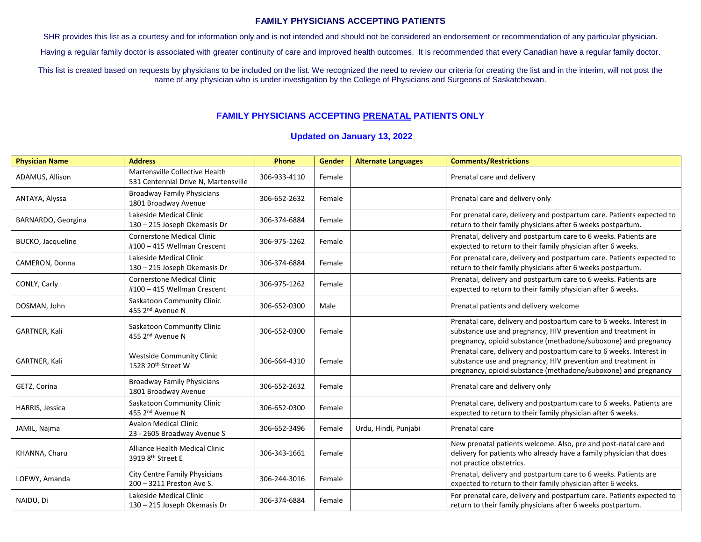## **FAMILY PHYSICIANS ACCEPTING PATIENTS**

SHR provides this list as a courtesy and for information only and is not intended and should not be considered an endorsement or recommendation of any particular physician.

Having a regular family doctor is associated with greater continuity of care and improved health outcomes. It is recommended that every Canadian have a regular family doctor.

This list is created based on requests by physicians to be included on the list. We recognized the need to review our criteria for creating the list and in the interim, will not post the name of any physician who is under investigation by the College of Physicians and Surgeons of Saskatchewan.

## **FAMILY PHYSICIANS ACCEPTING PRENATAL PATIENTS ONLY**

## **Updated on January 13, 2022**

| <b>Physician Name</b>    | <b>Address</b>                                                         | Phone        | Gender | <b>Alternate Languages</b> | <b>Comments/Restrictions</b>                                                                                                                                                                          |
|--------------------------|------------------------------------------------------------------------|--------------|--------|----------------------------|-------------------------------------------------------------------------------------------------------------------------------------------------------------------------------------------------------|
| ADAMUS, Allison          | Martensville Collective Health<br>531 Centennial Drive N, Martensville | 306-933-4110 | Female |                            | Prenatal care and delivery                                                                                                                                                                            |
| ANTAYA, Alyssa           | <b>Broadway Family Physicians</b><br>1801 Broadway Avenue              | 306-652-2632 | Female |                            | Prenatal care and delivery only                                                                                                                                                                       |
| BARNARDO, Georgina       | Lakeside Medical Clinic<br>130 - 215 Joseph Okemasis Dr                | 306-374-6884 | Female |                            | For prenatal care, delivery and postpartum care. Patients expected to<br>return to their family physicians after 6 weeks postpartum.                                                                  |
| <b>BUCKO, Jacqueline</b> | <b>Cornerstone Medical Clinic</b><br>#100 - 415 Wellman Crescent       | 306-975-1262 | Female |                            | Prenatal, delivery and postpartum care to 6 weeks. Patients are<br>expected to return to their family physician after 6 weeks.                                                                        |
| CAMERON, Donna           | Lakeside Medical Clinic<br>130 - 215 Joseph Okemasis Dr                | 306-374-6884 | Female |                            | For prenatal care, delivery and postpartum care. Patients expected to<br>return to their family physicians after 6 weeks postpartum.                                                                  |
| CONLY, Carly             | <b>Cornerstone Medical Clinic</b><br>#100 - 415 Wellman Crescent       | 306-975-1262 | Female |                            | Prenatal, delivery and postpartum care to 6 weeks. Patients are<br>expected to return to their family physician after 6 weeks.                                                                        |
| DOSMAN, John             | Saskatoon Community Clinic<br>455 2 <sup>nd</sup> Avenue N             | 306-652-0300 | Male   |                            | Prenatal patients and delivery welcome                                                                                                                                                                |
| GARTNER, Kali            | Saskatoon Community Clinic<br>455 2 <sup>nd</sup> Avenue N             | 306-652-0300 | Female |                            | Prenatal care, delivery and postpartum care to 6 weeks. Interest in<br>substance use and pregnancy, HIV prevention and treatment in<br>pregnancy, opioid substance (methadone/suboxone) and pregnancy |
| GARTNER, Kali            | <b>Westside Community Clinic</b><br>1528 20th Street W                 | 306-664-4310 | Female |                            | Prenatal care, delivery and postpartum care to 6 weeks. Interest in<br>substance use and pregnancy, HIV prevention and treatment in<br>pregnancy, opioid substance (methadone/suboxone) and pregnancy |
| GETZ, Corina             | <b>Broadway Family Physicians</b><br>1801 Broadway Avenue              | 306-652-2632 | Female |                            | Prenatal care and delivery only                                                                                                                                                                       |
| HARRIS, Jessica          | Saskatoon Community Clinic<br>455 2 <sup>nd</sup> Avenue N             | 306-652-0300 | Female |                            | Prenatal care, delivery and postpartum care to 6 weeks. Patients are<br>expected to return to their family physician after 6 weeks.                                                                   |
| JAMIL, Najma             | <b>Avalon Medical Clinic</b><br>23 - 2605 Broadway Avenue S            | 306-652-3496 | Female | Urdu, Hindi, Punjabi       | Prenatal care                                                                                                                                                                                         |
| KHANNA, Charu            | Alliance Health Medical Clinic<br>3919 8th Street E                    | 306-343-1661 | Female |                            | New prenatal patients welcome. Also, pre and post-natal care and<br>delivery for patients who already have a family physician that does<br>not practice obstetrics.                                   |
| LOEWY, Amanda            | City Centre Family Physicians<br>200 - 3211 Preston Ave S.             | 306-244-3016 | Female |                            | Prenatal, delivery and postpartum care to 6 weeks. Patients are<br>expected to return to their family physician after 6 weeks.                                                                        |
| NAIDU, Di                | Lakeside Medical Clinic<br>130 - 215 Joseph Okemasis Dr                | 306-374-6884 | Female |                            | For prenatal care, delivery and postpartum care. Patients expected to<br>return to their family physicians after 6 weeks postpartum.                                                                  |